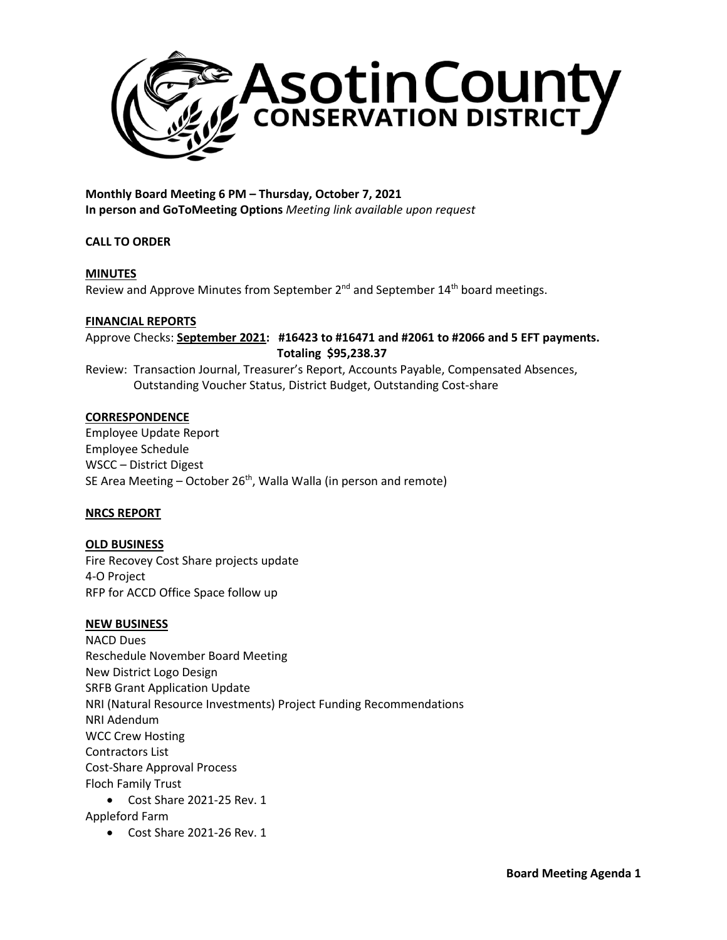

**Monthly Board Meeting 6 PM – Thursday, October 7, 2021 In person and GoToMeeting Options** *Meeting link available upon request*

# **CALL TO ORDER**

# **MINUTES**

Review and Approve Minutes from September 2<sup>nd</sup> and September 14<sup>th</sup> board meetings.

### **FINANCIAL REPORTS**

Approve Checks: **September 2021: #16423 to #16471 and #2061 to #2066 and 5 EFT payments. Totaling \$95,238.37**

Review: Transaction Journal, Treasurer's Report, Accounts Payable, Compensated Absences, Outstanding Voucher Status, District Budget, Outstanding Cost-share

### **CORRESPONDENCE**

Employee Update Report Employee Schedule WSCC – District Digest SE Area Meeting  $-$  October 26<sup>th</sup>, Walla Walla (in person and remote)

# **NRCS REPORT**

**OLD BUSINESS** Fire Recovey Cost Share projects update 4-O Project RFP for ACCD Office Space follow up

### **NEW BUSINESS**

NACD Dues Reschedule November Board Meeting New District Logo Design SRFB Grant Application Update NRI (Natural Resource Investments) Project Funding Recommendations NRI Adendum WCC Crew Hosting Contractors List Cost-Share Approval Process Floch Family Trust • Cost Share 2021-25 Rev. 1

- Appleford Farm
	- Cost Share 2021-26 Rev. 1